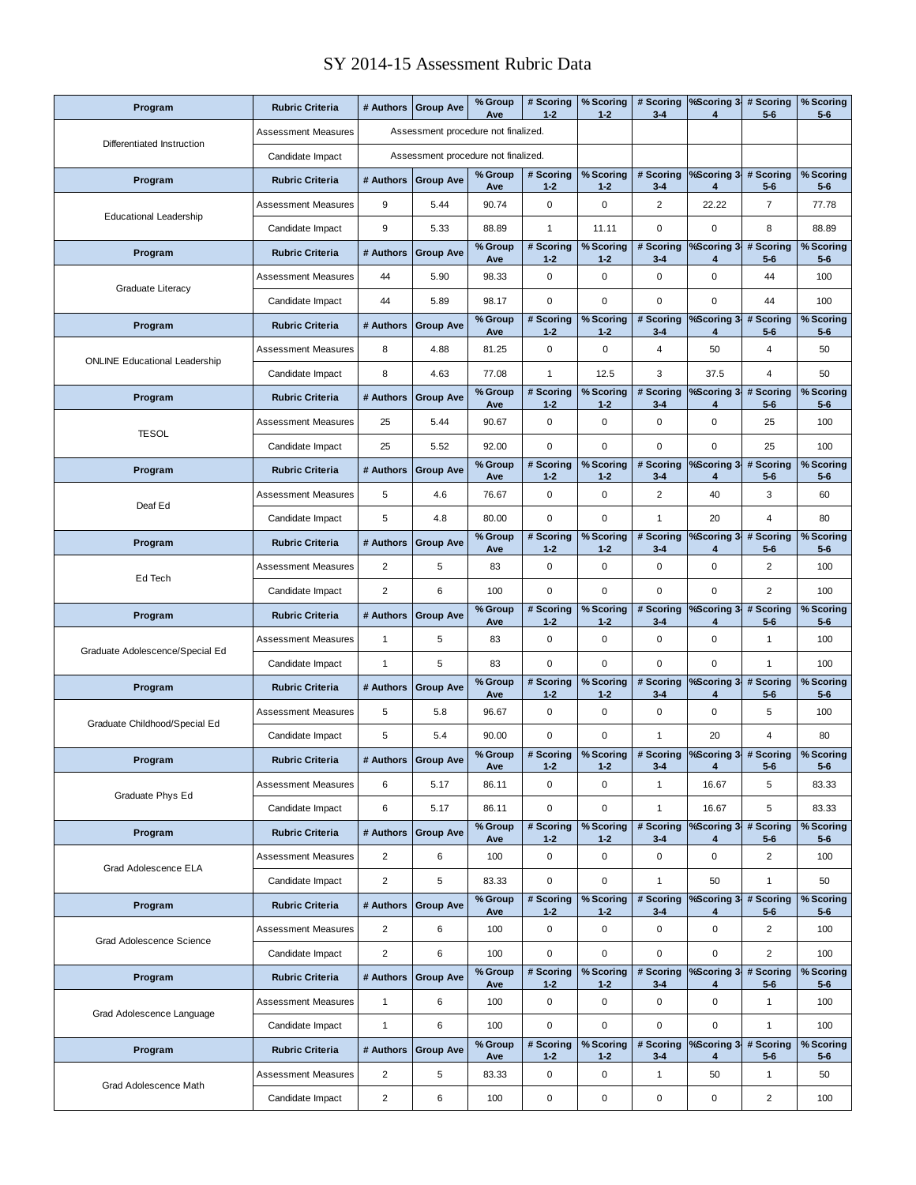## SY 2014-15 Assessment Rubric Data

| Program                              | <b>Rubric Criteria</b>     | # Authors                           | <b>Group Ave</b>                    | % Group<br>Ave | # Scoring<br>$1 - 2$ | % Scoring<br>$1 - 2$ | # Scoring<br>$3-4$   | %Scoring 3-<br>4 | # Scoring<br>$5-6$      | % Scoring<br>$5-6$   |
|--------------------------------------|----------------------------|-------------------------------------|-------------------------------------|----------------|----------------------|----------------------|----------------------|------------------|-------------------------|----------------------|
| Differentiated Instruction           | <b>Assessment Measures</b> |                                     | Assessment procedure not finalized. |                |                      |                      |                      |                  |                         |                      |
|                                      | Candidate Impact           | Assessment procedure not finalized. |                                     |                |                      |                      |                      |                  |                         |                      |
| Program                              | <b>Rubric Criteria</b>     | # Authors                           | <b>Group Ave</b>                    | % Group<br>Ave | # Scoring<br>$1 - 2$ | % Scoring<br>$1 - 2$ | # Scoring<br>$3-4$   | %Scoring 3-<br>4 | # Scoring<br>$5-6$      | % Scoring<br>$5-6$   |
| <b>Educational Leadership</b>        | <b>Assessment Measures</b> | 9                                   | 5.44                                | 90.74          | 0                    | 0                    | $\overline{2}$       | 22.22            | $\overline{7}$          | 77.78                |
|                                      | Candidate Impact           | 9                                   | 5.33                                | 88.89          | 1                    | 11.11                | $\mathbf 0$          | $\mathbf 0$      | 8                       | 88.89                |
| Program                              | <b>Rubric Criteria</b>     | # Authors                           | <b>Group Ave</b>                    | % Group<br>Ave | # Scoring<br>$1 - 2$ | % Scoring<br>$1 - 2$ | # Scoring<br>$3-4$   | %Scoring 3-<br>4 | # Scoring<br>$5-6$      | % Scoring<br>$5-6$   |
| Graduate Literacy                    | <b>Assessment Measures</b> | 44                                  | 5.90                                | 98.33          | 0                    | $\pmb{0}$            | 0                    | $\mathbf 0$      | 44                      | 100                  |
|                                      | Candidate Impact           | 44                                  | 5.89                                | 98.17          | 0                    | 0                    | $\mathbf 0$          | $\mathbf 0$      | 44                      | 100                  |
| Program                              | <b>Rubric Criteria</b>     | # Authors                           | <b>Group Ave</b>                    | % Group<br>Ave | # Scoring<br>$1 - 2$ | % Scoring<br>$1 - 2$ | # Scoring<br>$3-4$   | %Scoring 3-<br>4 | # Scoring<br>$5-6$      | $%$ Scoring<br>$5-6$ |
| <b>ONLINE Educational Leadership</b> | <b>Assessment Measures</b> | 8                                   | 4.88                                | 81.25          | 0                    | $\mathbf 0$          | 4                    | 50               | 4                       | 50                   |
|                                      | Candidate Impact           | 8                                   | 4.63                                | 77.08          | $\mathbf{1}$         | 12.5                 | 3                    | 37.5             | $\overline{4}$          | 50                   |
| Program                              | <b>Rubric Criteria</b>     | # Authors                           | <b>Group Ave</b>                    | % Group<br>Ave | # Scoring<br>$1 - 2$ | % Scoring<br>$1 - 2$ | # Scorina<br>$3 - 4$ | %Scoring 3-<br>4 | # Scoring<br>$5-6$      | % Scoring<br>$5-6$   |
|                                      | Assessment Measures        | 25                                  | 5.44                                | 90.67          | 0                    | 0                    | 0                    | $\mathbf 0$      | 25                      | 100                  |
| <b>TESOL</b>                         | Candidate Impact           | 25                                  | 5.52                                | 92.00          | 0                    | 0                    | $\mathbf 0$          | $\mathbf 0$      | 25                      | 100                  |
| Program                              | <b>Rubric Criteria</b>     | # Authors                           | <b>Group Ave</b>                    | % Group<br>Ave | # Scoring<br>$1 - 2$ | % Scoring<br>$1 - 2$ | # Scoring<br>$3-4$   | %Scoring 3-<br>4 | # Scoring<br>$5-6$      | % Scoring<br>$5-6$   |
|                                      | <b>Assessment Measures</b> | 5                                   | 4.6                                 | 76.67          | 0                    | 0                    | $\overline{2}$       | 40               | 3                       | 60                   |
| Deaf Ed                              | Candidate Impact           | 5                                   | 4.8                                 | 80.00          | 0                    | 0                    | 1                    | 20               | $\overline{4}$          | 80                   |
| Program                              | <b>Rubric Criteria</b>     | # Authors                           | <b>Group Ave</b>                    | % Group<br>Ave | # Scoring<br>$1 - 2$ | % Scoring<br>$1 - 2$ | # Scoring<br>$3-4$   | %Scoring 3-<br>4 | # Scoring<br>$5-6$      | % Scoring<br>$5-6$   |
|                                      | <b>Assessment Measures</b> | $\overline{c}$                      | 5                                   | 83             | 0                    | $\mathbf 0$          | $\mathbf 0$          | $\mathbf 0$      | $\overline{2}$          | 100                  |
| Ed Tech                              | Candidate Impact           | $\overline{c}$                      | 6                                   | 100            | 0                    | $\mathbf 0$          | $\mathbf 0$          | $\mathbf 0$      | $\overline{2}$          | 100                  |
|                                      |                            |                                     |                                     | % Group        | # Scoring            | % Scoring            | # Scoring            | %Scoring 3       |                         |                      |
| Program                              | <b>Rubric Criteria</b>     | # Authors                           | <b>Group Ave</b>                    | Ave            | $1 - 2$              | $1 - 2$              | $3 - 4$              | 4                | # Scoring<br>$5-6$      | % Scoring<br>$5-6$   |
|                                      | <b>Assessment Measures</b> | $\mathbf{1}$                        | 5                                   | 83             | 0                    | $\mathbf 0$          | $\mathbf 0$          | $\mathbf 0$      | $\mathbf{1}$            | 100                  |
| Graduate Adolescence/Special Ed      | Candidate Impact           | $\mathbf{1}$                        | 5                                   | 83             | 0                    | $\mathbf 0$          | $\mathbf 0$          | $\mathbf 0$      | $\mathbf{1}$            | 100                  |
| Program                              | <b>Rubric Criteria</b>     | # Authors                           | <b>Group Ave</b>                    | % Group<br>Ave | # Scoring<br>$1 - 2$ | % Scoring<br>$1 - 2$ | # Scoring<br>$3-4$   | %Scoring 3-<br>4 | # Scoring<br>$5-6$      | % Scoring<br>$5-6$   |
|                                      | <b>Assessment Measures</b> | 5                                   | 5.8                                 | 96.67          | 0                    | $\mathbf 0$          | $\pmb{0}$            | $\mathbf 0$      | 5                       | 100                  |
| Graduate Childhood/Special Ed        | Candidate Impact           | 5                                   | 5.4                                 | 90.00          | 0                    | 0                    | 1                    | 20               | 4                       | 80                   |
| Program                              | <b>Rubric Criteria</b>     |                                     | # Authors Group Ave                 | % Group<br>Ave | # Scoring<br>$1 - 2$ | % Scoring<br>$1 - 2$ | # Scoring<br>$3-4$   | %Scoring 3<br>4  | # Scoring<br>5-6        | % Scoring<br>$5-6$   |
|                                      | <b>Assessment Measures</b> | 6                                   | 5.17                                | 86.11          | 0                    | $\mathbf 0$          | $\mathbf{1}$         | 16.67            | 5                       | 83.33                |
| Graduate Phys Ed                     | Candidate Impact           | 6                                   | 5.17                                | 86.11          | 0                    | 0                    | $\mathbf{1}$         | 16.67            | 5                       | 83.33                |
| Program                              | <b>Rubric Criteria</b>     | # Authors                           | <b>Group Ave</b>                    | % Group        | # Scoring            | % Scoring            | # Scoring            | %Scoring 3-<br>4 | # Scoring               | % Scoring            |
|                                      | <b>Assessment Measures</b> | $\overline{2}$                      | 6                                   | Ave<br>100     | $1 - 2$<br>0         | $1 - 2$<br>0         | $3-4$<br>0           | $\mathbf 0$      | $5-6$<br>$\overline{2}$ | $5-6$<br>100         |
| Grad Adolescence ELA                 | Candidate Impact           | $\overline{2}$                      | 5                                   | 83.33          | 0                    | $\pmb{0}$            | $\mathbf{1}$         | 50               | $\mathbf{1}$            | 50                   |
| Program                              | <b>Rubric Criteria</b>     | # Authors                           | <b>Group Ave</b>                    | % Group        | # Scoring            | % Scoring            | # Scoring            | %Scoring 3-<br>4 | # Scoring               | % Scoring            |
|                                      | <b>Assessment Measures</b> | $\overline{c}$                      | 6                                   | Ave<br>100     | $1 - 2$<br>0         | $1 - 2$<br>0         | $3 - 4$<br>0         | 0                | $5-6$<br>2              | $5-6$<br>100         |
| Grad Adolescence Science             | Candidate Impact           | $\overline{2}$                      | 6                                   | 100            | 0                    | $\mathbf 0$          | $\mathbf 0$          | $\mathbf 0$      | $\overline{2}$          | 100                  |
| Program                              | <b>Rubric Criteria</b>     | # Authors                           | <b>Group Ave</b>                    | % Group<br>Ave | # Scoring<br>$1 - 2$ | % Scoring<br>$1 - 2$ | # Scoring<br>$3-4$   | %Scoring 3-<br>4 | # Scoring<br>$5-6$      | % Scoring<br>$5-6$   |
|                                      | <b>Assessment Measures</b> | 1                                   | 6                                   | 100            | 0                    | 0                    | 0                    | $\pmb{0}$        | 1                       | 100                  |
| Grad Adolescence Language            | Candidate Impact           | 1                                   | 6                                   | 100            | 0                    | 0                    | $\mathbf 0$          | $\mathbf 0$      | $\mathbf{1}$            | 100                  |
| Program                              | <b>Rubric Criteria</b>     | # Authors                           | <b>Group Ave</b>                    | % Group<br>Ave | # Scoring<br>$1 - 2$ | % Scoring<br>$1 - 2$ | # Scoring<br>$3-4$   | %Scoring 3-<br>4 | # Scoring<br>$5-6$      | % Scoring<br>$5-6$   |
| Grad Adolescence Math                | <b>Assessment Measures</b> | 2                                   | 5                                   | 83.33          | 0                    | $\pmb{0}$            | 1                    | 50               | $\mathbf{1}$            | 50                   |